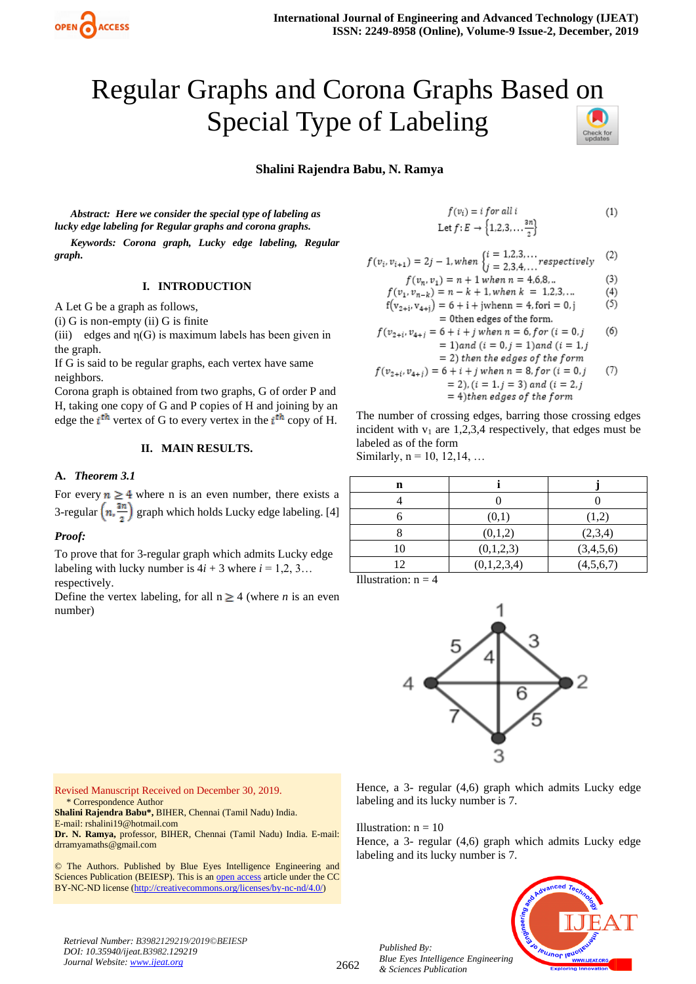

# Regular Graphs and Corona Graphs Based on Special Type of Labeling

# **Shalini Rajendra Babu, N. Ramya**

*Abstract: Here we consider the special type of labeling as lucky edge labeling for Regular graphs and corona graphs.*

*Keywords: Corona graph, Lucky edge labeling, Regular graph.*

## **I. INTRODUCTION**

A Let G be a graph as follows,

(i) G is non-empty (ii) G is finite

(iii) edges and  $\eta$ (G) is maximum labels has been given in the graph.

If G is said to be regular graphs, each vertex have same neighbors.

Corona graph is obtained from two graphs, G of order P and H, taking one copy of G and P copies of H and joining by an edge the  $i^{\text{th}}$  vertex of G to every vertex in the  $i^{\text{th}}$  copy of H.

## **II. MAIN RESULTS.**

#### **A.** *Theorem 3.1*

For every  $n \geq 4$  where n is an even number, there exists a 3-regular  $\left(n, \frac{3n}{n}\right)$  graph which holds Lucky edge labeling. [4]

#### *Proof:*

To prove that for 3-regular graph which admits Lucky edge labeling with lucky number is  $4i + 3$  where  $i = 1, 2, 3...$ respectively.

Define the vertex labeling, for all  $n \geq 4$  (where *n* is an even number)

$$
f(v_i) = i \text{ for all } i
$$
  
Let  $f: E \rightarrow \{1, 2, 3, \dots \frac{3n}{2}\}$  (1)

$$
f(v_i, v_{i+1}) = 2j - 1, when \begin{cases} i = 1, 2, 3, \dots \\ i = 2, 3, 4, \dots \end{cases} respectively \tag{2}
$$

$$
f(v_n, v_1) = n + 1 when n = 4.6.8...
$$
 (3)

$$
f(v_1, v_{n-k}) = n - k + 1, when k = 1, 2, 3, ... \tag{4}
$$

$$
f(v_{2+i}, v_{4+j}) = 6 + i + jwhen n = 4, for i = 0, j \tag{3}
$$

$$
f(v_{2+i}, v_{4+i}) = 6 + i + j \text{ when } n = 6, for (i = 0, j = 1) \text{ and } (i = 1, j = 2) \text{ then the edges of the form}
$$
\n
$$
= 2 + j \text{ for the edges of the form}
$$

$$
f(v_{2+i}, v_{4+i}) = 6 + i + j \text{ when } n = 8, \text{ for } (i = 0, j = 2), (i = 1, j = 3) \text{ and } (i = 2, j = 4) \text{ then edges of the form}
$$
\n(7)

The number of crossing edges, barring those crossing edges incident with  $v_1$  are 1,2,3,4 respectively, that edges must be labeled as of the form

Similarly,  $n = 10, 12, 14, ...$ 

| n  |             |           |
|----|-------------|-----------|
|    |             |           |
|    | (0,1)       | (1,2)     |
|    | (0,1,2)     | (2,3,4)   |
| 10 | (0,1,2,3)   | (3,4,5,6) |
| 12 | (0,1,2,3,4) | (4,5,6,7) |

Illustration:  $n = 4$ 



Revised Manuscript Received on December 30, 2019. \* Correspondence Author

**Shalini Rajendra Babu\*,** BIHER, Chennai (Tamil Nadu) India.

E-mail: rshalini19@hotmail.com

**Dr. N. Ramya,** professor, BIHER, Chennai (Tamil Nadu) India. E-mail: drramyamaths@gmail.com

© The Authors. Published by Blue Eyes Intelligence Engineering and Sciences Publication (BEIESP). This is a[n open access](https://www.openaccess.nl/en/open-publications) article under the CC BY-NC-ND license [\(http://creativecommons.org/licenses/by-nc-nd/4.0/\)](http://creativecommons.org/licenses/by-nc-nd/4.0/)

Hence, a 3- regular (4,6) graph which admits Lucky edge labeling and its lucky number is 7.

Illustration:  $n = 10$ 

*Published By:*

*& Sciences Publication* 

Hence, a 3- regular (4,6) graph which admits Lucky edge labeling and its lucky number is 7.



*Retrieval Number: B3982129219/2019©BEIESP DOI: 10.35940/ijeat.B3982.129219 Journal Website[: www.ijeat.org](http://www.ijeat.org/)*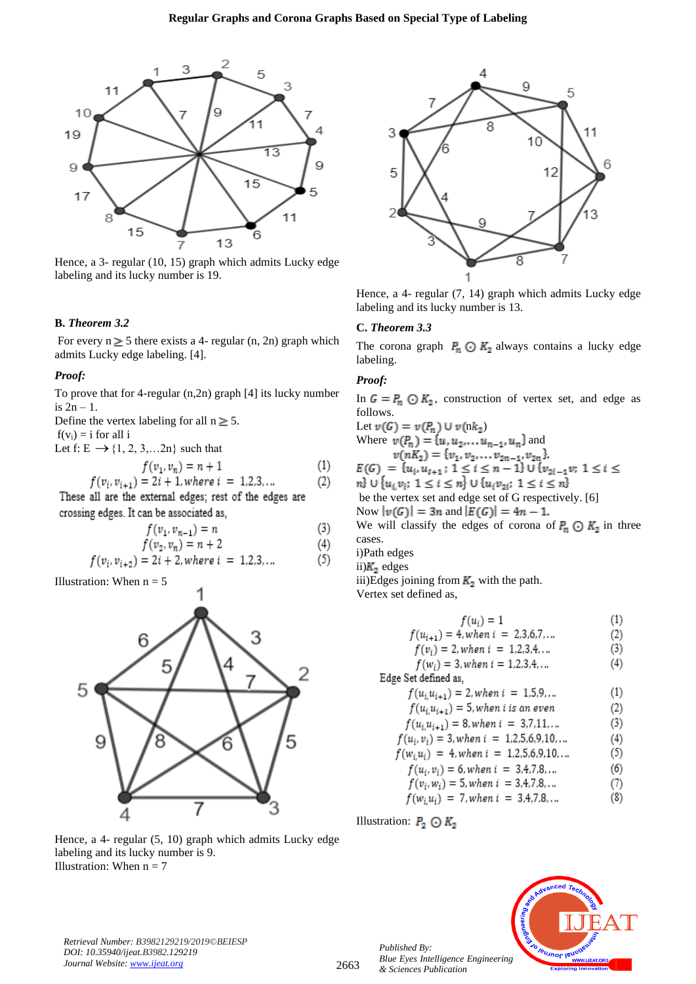

Hence, a 3- regular (10, 15) graph which admits Lucky edge labeling and its lucky number is 19.

#### **B.** *Theorem 3.2*

For every  $n \ge 5$  there exists a 4- regular (n, 2n) graph which admits Lucky edge labeling. [4].

#### *Proof:*

To prove that for 4-regular (n,2n) graph [4] its lucky number is  $2n - 1$ .

Define the vertex labeling for all  $n \geq 5$ .

 $f(v_i) = i$  for all i

Let f:  $E \rightarrow \{1, 2, 3, \ldots, 2n\}$  such that

$$
f(v_1, v_n) = n + 1
$$
 (1)  

$$
f(v_i, v_{i+1}) = 2i + 1, where i = 1, 2, 3, ...
$$
 (2)

These all are the external edges; rest of the edges are crossing edges. It can be associated as,

$$
f(v_1, v_{n-1}) = n \tag{3}
$$

$$
f(v_2, v_n) = n + 2 \tag{4}
$$

$$
f(v_i, v_{i+2}) = 2i + 2, where i = 1, 2, 3, ... \tag{5}
$$

Illustration: When  $n = 5$ 

J



Hence, a 4- regular (5, 10) graph which admits Lucky edge labeling and its lucky number is 9. Illustration: When  $n = 7$ 



Hence, a 4- regular (7, 14) graph which admits Lucky edge labeling and its lucky number is 13.

# **C.** *Theorem 3.3*

The corona graph  $P_n \odot K_2$  always contains a lucky edge labeling.

# *Proof:*

In  $G = P_n \odot K_2$ , construction of vertex set, and edge as follows.

Let  $v(G) = v(P_n) \cup v(nk_2)$ Where  $v(P_n) = \{u, u_2, \dots, u_{n-1}, u_n\}$  and  $v(nK_2) = \{v_1, v_2, \ldots v_{2n-1}, v_{2n}\}$ <br>  $E(G) = \{u_i, u_{i+1} : 1 \le i \le n-1\} \cup \{v_{2i-1}v: 1 \le i \le n\}$ <br>  $v_1 \cup \{u_i v_i: 1 \le i \le n\} \cup \{u_i v_{2i}: 1 \le i \le n\}$ be the vertex set and edge set of G respectively. [6] Now  $|v(G)| = 3n$  and  $|E(G)| = 4n - 1$ . We will classify the edges of corona of  $P_n \odot K_2$  in three

cases.

i)Path edges

ii) $K_2$  edges

iii)Edges joining from  $K_2$  with the path.

Vertex set defined as,

$$
f(u_i) = 1
$$
 (1)  
.) = 4. when  $i = 2.3.6.7...$  (2)

$$
(u_{i+1}) = 4, when i = 2,3,0,7,...
$$

$$
f(v_i) = 2, when i = 1, 2, 3, 4, ... \t\t(3)
$$

$$
f(w_i) = 3, when i = 1, 2, 3, 4, ... \tag{4}
$$

Edge Set defined as,

 $f(u_i u_{i+1}) = 2$ , when  $i = 1.5.9...$  $(1)$  $f(u, u, \ldots) = 5$  when i is an even  $\sim$ 

$$
f(u_i u_{i+1}) = 3, when i is an even
$$
(2)  

$$
f(u_i u_{i+1}) = 9, when i = 27.11
$$
(3)

$$
f(u_i, u_{i+1}) = 8, when i = 3,7,11,...
$$
  

$$
f(u_i, v_i) = 3, when i = 1.2,5,6,9,10,...
$$
 (4)

$$
f(u_i, v_i) = 3, when i = 1, 2, 3, 0, 9, 10, ... \tag{4}
$$
  

$$
f(w, u_i) = 4, when i = 1, 2, 5, 6, 9, 10, ... \tag{5}
$$

$$
f(u_i, v_i) = 6, when i = 1, 2, 3, 6, 7, 10, ...
$$
  

$$
f(u_i, v_i) = 6, when i = 3, 4, 7, 8, ...
$$
 (6)

$$
f(v_i, w_i) = 5, when i = 3,4,7,8,...
$$
  
(7)

$$
f(w_i, u_i) = 7, when i = 3,4,7,8,...
$$
 (8)

Illustration:  $P_2 \odot K_2$ 

*Published By:*

*& Sciences Publication*